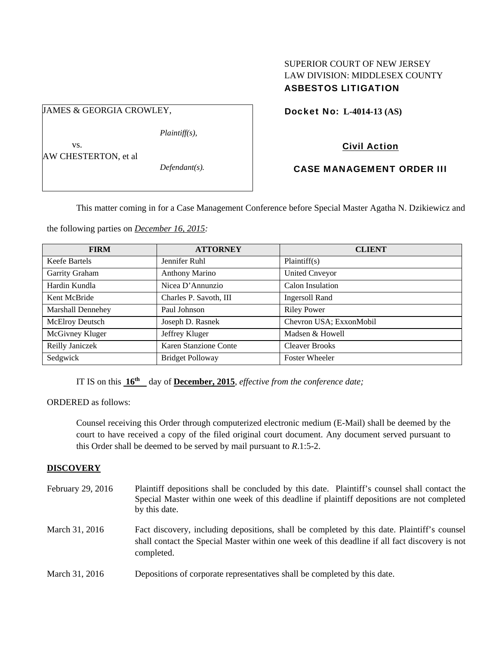# SUPERIOR COURT OF NEW JERSEY LAW DIVISION: MIDDLESEX COUNTY ASBESTOS LITIGATION

Docket No: **L-4014-13 (AS)** 

Civil Action

# CASE MANAGEMENT ORDER III

This matter coming in for a Case Management Conference before Special Master Agatha N. Dzikiewicz and

the following parties on *December 16, 2015:* 

| <b>FIRM</b>              | <b>ATTORNEY</b>              | <b>CLIENT</b>           |
|--------------------------|------------------------------|-------------------------|
| Keefe Bartels            | Jennifer Ruhl                | Plaintiff(s)            |
| Garrity Graham           | <b>Anthony Marino</b>        | <b>United Cnveyor</b>   |
| Hardin Kundla            | Nicea D'Annunzio             | Calon Insulation        |
| Kent McBride             | Charles P. Savoth, III       | <b>Ingersoll Rand</b>   |
| <b>Marshall Dennehey</b> | Paul Johnson                 | <b>Riley Power</b>      |
| McElroy Deutsch          | Joseph D. Rasnek             | Chevron USA; ExxonMobil |
| McGivney Kluger          | Jeffrey Kluger               | Madsen & Howell         |
| Reilly Janiczek          | <b>Karen Stanzione Conte</b> | <b>Cleaver Brooks</b>   |
| Sedgwick                 | <b>Bridget Polloway</b>      | <b>Foster Wheeler</b>   |

IT IS on this **16th** day of **December, 2015**, *effective from the conference date;*

ORDERED as follows:

Counsel receiving this Order through computerized electronic medium (E-Mail) shall be deemed by the court to have received a copy of the filed original court document. Any document served pursuant to this Order shall be deemed to be served by mail pursuant to *R*.1:5-2.

# **DISCOVERY**

| February 29, 2016 | Plaintiff depositions shall be concluded by this date. Plaintiff's counsel shall contact the<br>Special Master within one week of this deadline if plaintiff depositions are not completed<br>by this date. |
|-------------------|-------------------------------------------------------------------------------------------------------------------------------------------------------------------------------------------------------------|
| March 31, 2016    | Fact discovery, including depositions, shall be completed by this date. Plaintiff's counsel<br>shall contact the Special Master within one week of this deadline if all fact discovery is not<br>completed. |
| March 31, 2016    | Depositions of corporate representatives shall be completed by this date.                                                                                                                                   |

|     | $Plaintiff(s)$ , |
|-----|------------------|
| VS. |                  |

JAMES & GEORGIA CROWLEY,

AW CHESTERTON, et al

*Defendant(s).*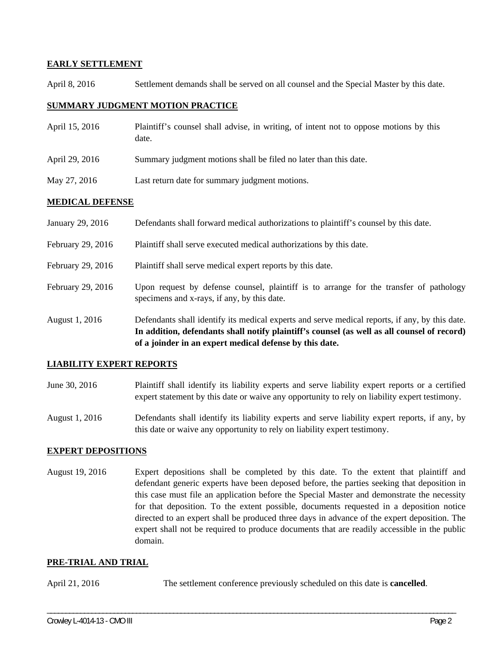# **EARLY SETTLEMENT**

April 8, 2016 Settlement demands shall be served on all counsel and the Special Master by this date.

# **SUMMARY JUDGMENT MOTION PRACTICE**

- April 15, 2016 Plaintiff's counsel shall advise, in writing, of intent not to oppose motions by this date.
- April 29, 2016 Summary judgment motions shall be filed no later than this date.
- May 27, 2016 Last return date for summary judgment motions.

# **MEDICAL DEFENSE**

|                   | In addition, defendants shall notify plaintiff's counsel (as well as all counsel of record)<br>of a joinder in an expert medical defense by this date. |
|-------------------|--------------------------------------------------------------------------------------------------------------------------------------------------------|
| August 1, 2016    | Defendants shall identify its medical experts and serve medical reports, if any, by this date.                                                         |
| February 29, 2016 | Upon request by defense counsel, plaintiff is to arrange for the transfer of pathology<br>specimens and x-rays, if any, by this date.                  |
| February 29, 2016 | Plaintiff shall serve medical expert reports by this date.                                                                                             |
| February 29, 2016 | Plaintiff shall serve executed medical authorizations by this date.                                                                                    |
| January 29, 2016  | Defendants shall forward medical authorizations to plaintiff's counsel by this date.                                                                   |

# **LIABILITY EXPERT REPORTS**

- June 30, 2016 Plaintiff shall identify its liability experts and serve liability expert reports or a certified expert statement by this date or waive any opportunity to rely on liability expert testimony.
- August 1, 2016 Defendants shall identify its liability experts and serve liability expert reports, if any, by this date or waive any opportunity to rely on liability expert testimony.

# **EXPERT DEPOSITIONS**

August 19, 2016 Expert depositions shall be completed by this date. To the extent that plaintiff and defendant generic experts have been deposed before, the parties seeking that deposition in this case must file an application before the Special Master and demonstrate the necessity for that deposition. To the extent possible, documents requested in a deposition notice directed to an expert shall be produced three days in advance of the expert deposition. The expert shall not be required to produce documents that are readily accessible in the public domain.

# **PRE-TRIAL AND TRIAL**

April 21, 2016 The settlement conference previously scheduled on this date is **cancelled**.

\_\_\_\_\_\_\_\_\_\_\_\_\_\_\_\_\_\_\_\_\_\_\_\_\_\_\_\_\_\_\_\_\_\_\_\_\_\_\_\_\_\_\_\_\_\_\_\_\_\_\_\_\_\_\_\_\_\_\_\_\_\_\_\_\_\_\_\_\_\_\_\_\_\_\_\_\_\_\_\_\_\_\_\_\_\_\_\_\_\_\_\_\_\_\_\_\_\_\_\_\_\_\_\_\_\_\_\_\_\_